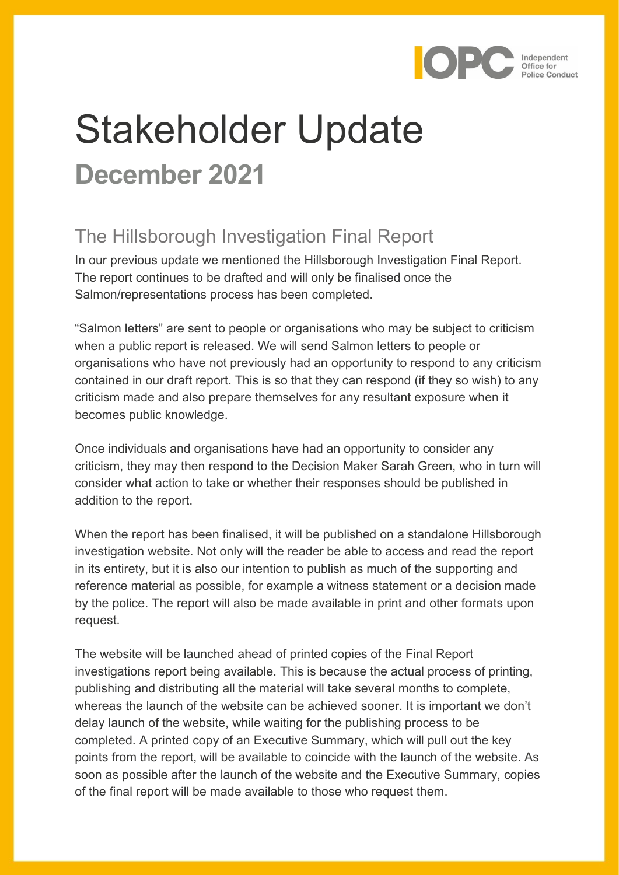

# Stakeholder Update **December 2021**

## The Hillsborough Investigation Final Report

In our previous update we mentioned the Hillsborough Investigation Final Report. The report continues to be drafted and will only be finalised once the Salmon/representations process has been completed.

"Salmon letters" are sent to people or organisations who may be subject to criticism when a public report is released. We will send Salmon letters to people or organisations who have not previously had an opportunity to respond to any criticism contained in our draft report. This is so that they can respond (if they so wish) to any criticism made and also prepare themselves for any resultant exposure when it becomes public knowledge.

Once individuals and organisations have had an opportunity to consider any criticism, they may then respond to the Decision Maker Sarah Green, who in turn will consider what action to take or whether their responses should be published in addition to the report.

When the report has been finalised, it will be published on a standalone Hillsborough investigation website. Not only will the reader be able to access and read the report in its entirety, but it is also our intention to publish as much of the supporting and reference material as possible, for example a witness statement or a decision made by the police. The report will also be made available in print and other formats upon request.

The website will be launched ahead of printed copies of the Final Report investigations report being available. This is because the actual process of printing, publishing and distributing all the material will take several months to complete, whereas the launch of the website can be achieved sooner. It is important we don't delay launch of the website, while waiting for the publishing process to be completed. A printed copy of an Executive Summary, which will pull out the key points from the report, will be available to coincide with the launch of the website. As soon as possible after the launch of the website and the Executive Summary, copies of the final report will be made available to those who request them.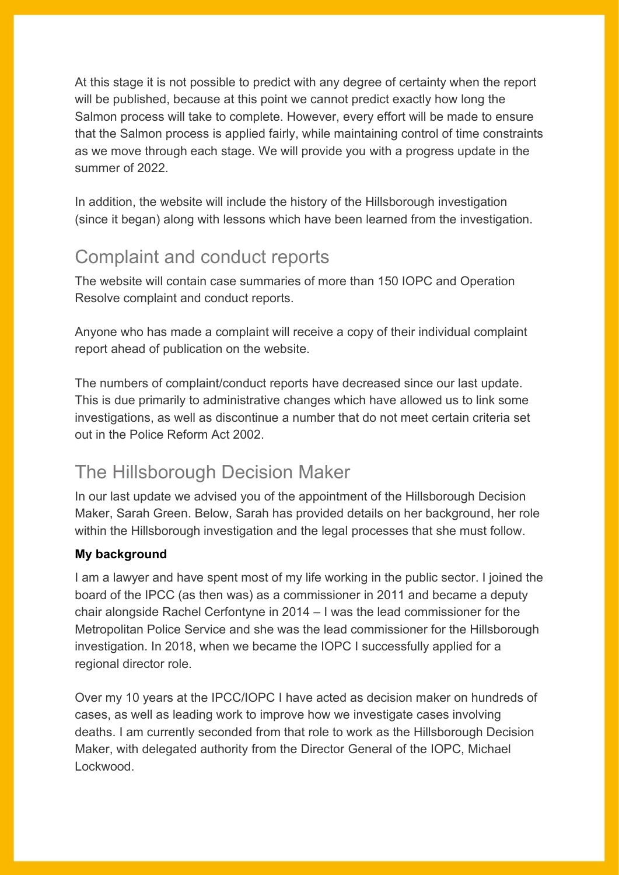At this stage it is not possible to predict with any degree of certainty when the report will be published, because at this point we cannot predict exactly how long the Salmon process will take to complete. However, every effort will be made to ensure that the Salmon process is applied fairly, while maintaining control of time constraints as we move through each stage. We will provide you with a progress update in the summer of 2022.

In addition, the website will include the history of the Hillsborough investigation (since it began) along with lessons which have been learned from the investigation.

## Complaint and conduct reports

The website will contain case summaries of more than 150 IOPC and Operation Resolve complaint and conduct reports.

Anyone who has made a complaint will receive a copy of their individual complaint report ahead of publication on the website.

The numbers of complaint/conduct reports have decreased since our last update. This is due primarily to administrative changes which have allowed us to link some investigations, as well as discontinue a number that do not meet certain criteria set out in the Police Reform Act 2002.

## The Hillsborough Decision Maker

In our last update we advised you of the appointment of the Hillsborough Decision Maker, Sarah Green. Below, Sarah has provided details on her background, her role within the Hillsborough investigation and the legal processes that she must follow.

## **My background**

I am a lawyer and have spent most of my life working in the public sector. I joined the board of the IPCC (as then was) as a commissioner in 2011 and became a deputy chair alongside Rachel Cerfontyne in 2014 – I was the lead commissioner for the Metropolitan Police Service and she was the lead commissioner for the Hillsborough investigation. In 2018, when we became the IOPC I successfully applied for a regional director role.

Over my 10 years at the IPCC/IOPC I have acted as decision maker on hundreds of cases, as well as leading work to improve how we investigate cases involving deaths. I am currently seconded from that role to work as the Hillsborough Decision Maker, with delegated authority from the Director General of the IOPC, Michael Lockwood.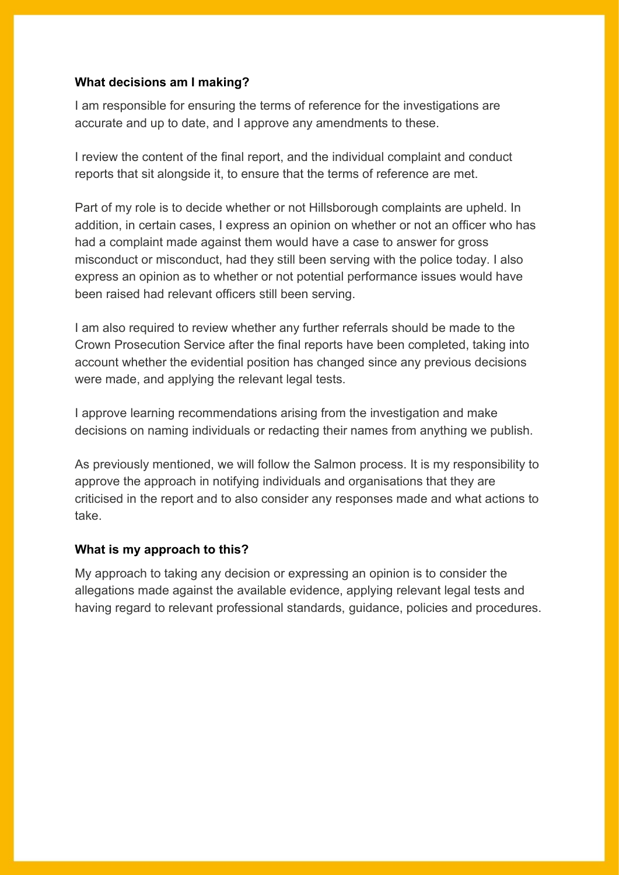### **What decisions am I making?**

I am responsible for ensuring the terms of reference for the investigations are accurate and up to date, and I approve any amendments to these.

I review the content of the final report, and the individual complaint and conduct reports that sit alongside it, to ensure that the terms of reference are met.

Part of my role is to decide whether or not Hillsborough complaints are upheld. In addition, in certain cases, I express an opinion on whether or not an officer who has had a complaint made against them would have a case to answer for gross misconduct or misconduct, had they still been serving with the police today. I also express an opinion as to whether or not potential performance issues would have been raised had relevant officers still been serving.

I am also required to review whether any further referrals should be made to the Crown Prosecution Service after the final reports have been completed, taking into account whether the evidential position has changed since any previous decisions were made, and applying the relevant legal tests.

I approve learning recommendations arising from the investigation and make decisions on naming individuals or redacting their names from anything we publish.

As previously mentioned, we will follow the Salmon process. It is my responsibility to approve the approach in notifying individuals and organisations that they are criticised in the report and to also consider any responses made and what actions to take.

### **What is my approach to this?**

My approach to taking any decision or expressing an opinion is to consider the allegations made against the available evidence, applying relevant legal tests and having regard to relevant professional standards, guidance, policies and procedures.